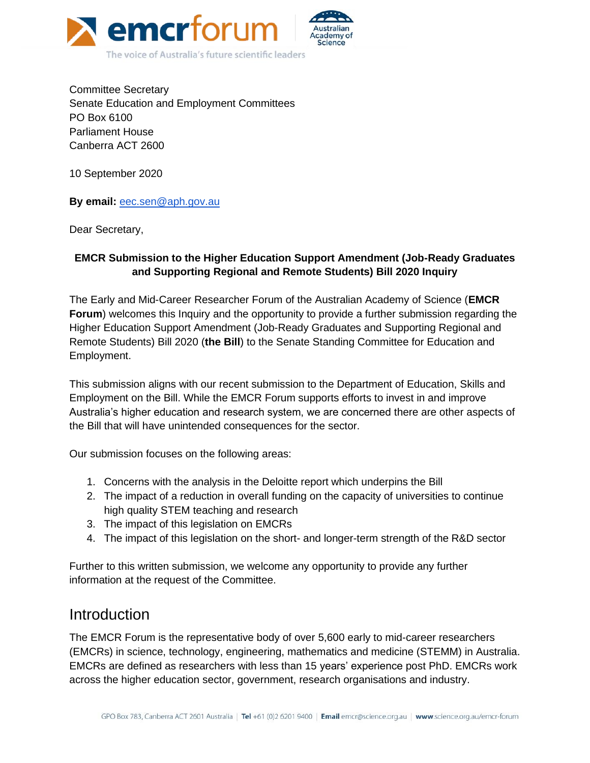

Committee Secretary Senate Education and Employment Committees PO Box 6100 Parliament House Canberra ACT 2600

10 September 2020

**By email:** [eec.sen@aph.gov.au](mailto:eec.sen@aph.gov.au)

Dear Secretary,

#### **EMCR Submission to the Higher Education Support Amendment (Job-Ready Graduates and Supporting Regional and Remote Students) Bill 2020 Inquiry**

The Early and Mid-Career Researcher Forum of the Australian Academy of Science (**EMCR Forum**) welcomes this Inquiry and the opportunity to provide a further submission regarding the Higher Education Support Amendment (Job-Ready Graduates and Supporting Regional and Remote Students) Bill 2020 (**the Bill**) to the Senate Standing Committee for Education and Employment.

This submission aligns with our recent submission to the Department of Education, Skills and Employment on the Bill. While the EMCR Forum supports efforts to invest in and improve Australia's higher education and research system, we are concerned there are other aspects of the Bill that will have unintended consequences for the sector.

Our submission focuses on the following areas:

- 1. Concerns with the analysis in the Deloitte report which underpins the Bill
- 2. The impact of a reduction in overall funding on the capacity of universities to continue high quality STEM teaching and research
- 3. The impact of this legislation on EMCRs
- 4. The impact of this legislation on the short- and longer-term strength of the R&D sector

Further to this written submission, we welcome any opportunity to provide any further information at the request of the Committee.

#### Introduction

The EMCR Forum is the representative body of over 5,600 early to mid-career researchers (EMCRs) in science, technology, engineering, mathematics and medicine (STEMM) in Australia. EMCRs are defined as researchers with less than 15 years' experience post PhD. EMCRs work across the higher education sector, government, research organisations and industry.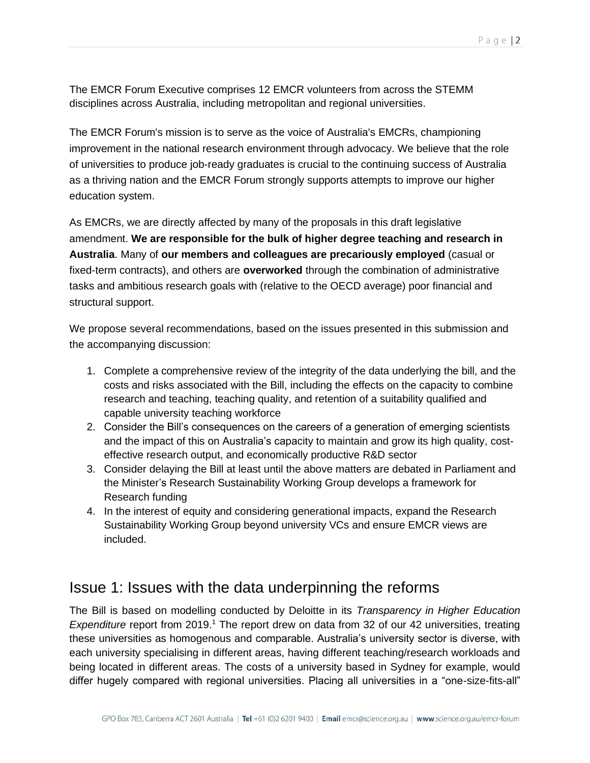The EMCR Forum Executive comprises 12 EMCR volunteers from across the STEMM disciplines across Australia, including metropolitan and regional universities.

The EMCR Forum's mission is to serve as the voice of Australia's EMCRs, championing improvement in the national research environment through advocacy. We believe that the role of universities to produce job-ready graduates is crucial to the continuing success of Australia as a thriving nation and the EMCR Forum strongly supports attempts to improve our higher education system.

As EMCRs, we are directly affected by many of the proposals in this draft legislative amendment. **We are responsible for the bulk of higher degree teaching and research in Australia**. Many of **our members and colleagues are precariously employed** (casual or fixed-term contracts), and others are **overworked** through the combination of administrative tasks and ambitious research goals with (relative to the OECD average) poor financial and structural support.

We propose several recommendations, based on the issues presented in this submission and the accompanying discussion:

- 1. Complete a comprehensive review of the integrity of the data underlying the bill, and the costs and risks associated with the Bill, including the effects on the capacity to combine research and teaching, teaching quality, and retention of a suitability qualified and capable university teaching workforce
- 2. Consider the Bill's consequences on the careers of a generation of emerging scientists and the impact of this on Australia's capacity to maintain and grow its high quality, costeffective research output, and economically productive R&D sector
- 3. Consider delaying the Bill at least until the above matters are debated in Parliament and the Minister's Research Sustainability Working Group develops a framework for Research funding
- 4. In the interest of equity and considering generational impacts, expand the Research Sustainability Working Group beyond university VCs and ensure EMCR views are included.

## Issue 1: Issues with the data underpinning the reforms

The Bill is based on modelling conducted by Deloitte in its *Transparency in Higher Education Expenditure* report from 2019.<sup>1</sup> The report drew on data from 32 of our 42 universities, treating these universities as homogenous and comparable. Australia's university sector is diverse, with each university specialising in different areas, having different teaching/research workloads and being located in different areas. The costs of a university based in Sydney for example, would differ hugely compared with regional universities. Placing all universities in a "one-size-fits-all"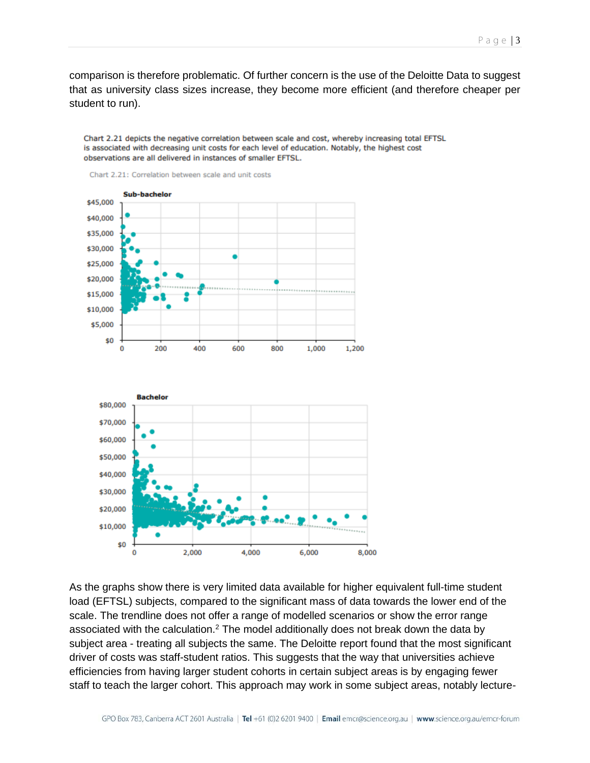comparison is therefore problematic. Of further concern is the use of the Deloitte Data to suggest that as university class sizes increase, they become more efficient (and therefore cheaper per student to run).

Chart 2.21 depicts the negative correlation between scale and cost, whereby increasing total EFTSL is associated with decreasing unit costs for each level of education. Notably, the highest cost observations are all delivered in instances of smaller EFTSL.



Chart 2.21: Correlation between scale and unit costs

As the graphs show there is very limited data available for higher equivalent full-time student load (EFTSL) subjects, compared to the significant mass of data towards the lower end of the scale. The trendline does not offer a range of modelled scenarios or show the error range associated with the calculation.<sup>2</sup> The model additionally does not break down the data by subject area - treating all subjects the same. The Deloitte report found that the most significant driver of costs was staff-student ratios. This suggests that the way that universities achieve efficiencies from having larger student cohorts in certain subject areas is by engaging fewer staff to teach the larger cohort. This approach may work in some subject areas, notably lecture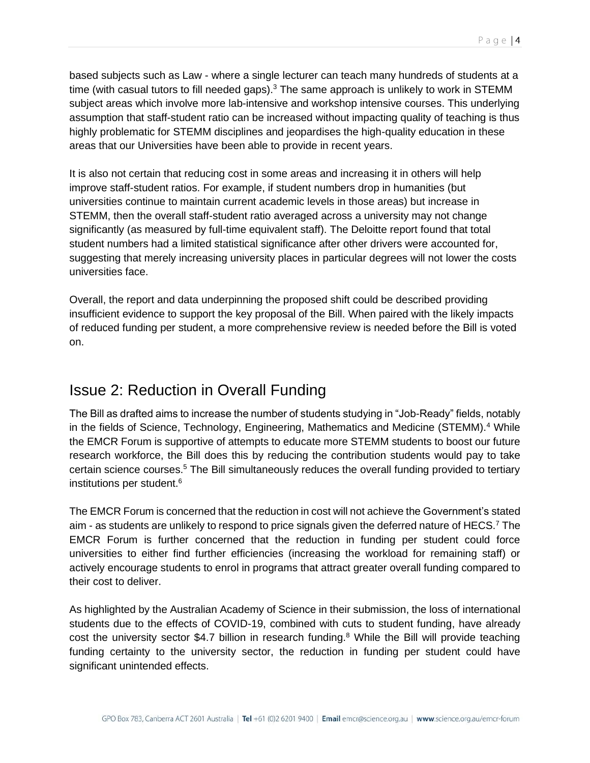based subjects such as Law - where a single lecturer can teach many hundreds of students at a time (with casual tutors to fill needed gaps).<sup>3</sup> The same approach is unlikely to work in STEMM subject areas which involve more lab-intensive and workshop intensive courses. This underlying assumption that staff-student ratio can be increased without impacting quality of teaching is thus highly problematic for STEMM disciplines and jeopardises the high-quality education in these areas that our Universities have been able to provide in recent years.

It is also not certain that reducing cost in some areas and increasing it in others will help improve staff-student ratios. For example, if student numbers drop in humanities (but universities continue to maintain current academic levels in those areas) but increase in STEMM, then the overall staff-student ratio averaged across a university may not change significantly (as measured by full-time equivalent staff). The Deloitte report found that total student numbers had a limited statistical significance after other drivers were accounted for, suggesting that merely increasing university places in particular degrees will not lower the costs universities face.

Overall, the report and data underpinning the proposed shift could be described providing insufficient evidence to support the key proposal of the Bill. When paired with the likely impacts of reduced funding per student, a more comprehensive review is needed before the Bill is voted on.

## Issue 2: Reduction in Overall Funding

The Bill as drafted aims to increase the number of students studying in "Job-Ready" fields, notably in the fields of Science, Technology, Engineering, Mathematics and Medicine (STEMM).<sup>4</sup> While the EMCR Forum is supportive of attempts to educate more STEMM students to boost our future research workforce, the Bill does this by reducing the contribution students would pay to take certain science courses.<sup>5</sup> The Bill simultaneously reduces the overall funding provided to tertiary institutions per student.<sup>6</sup>

The EMCR Forum is concerned that the reduction in cost will not achieve the Government's stated aim - as students are unlikely to respond to price signals given the deferred nature of HECS.<sup>7</sup> The EMCR Forum is further concerned that the reduction in funding per student could force universities to either find further efficiencies (increasing the workload for remaining staff) or actively encourage students to enrol in programs that attract greater overall funding compared to their cost to deliver.

As highlighted by the Australian Academy of Science in their submission, the loss of international students due to the effects of COVID-19, combined with cuts to student funding, have already cost the university sector \$4.7 billion in research funding.<sup>8</sup> While the Bill will provide teaching funding certainty to the university sector, the reduction in funding per student could have significant unintended effects.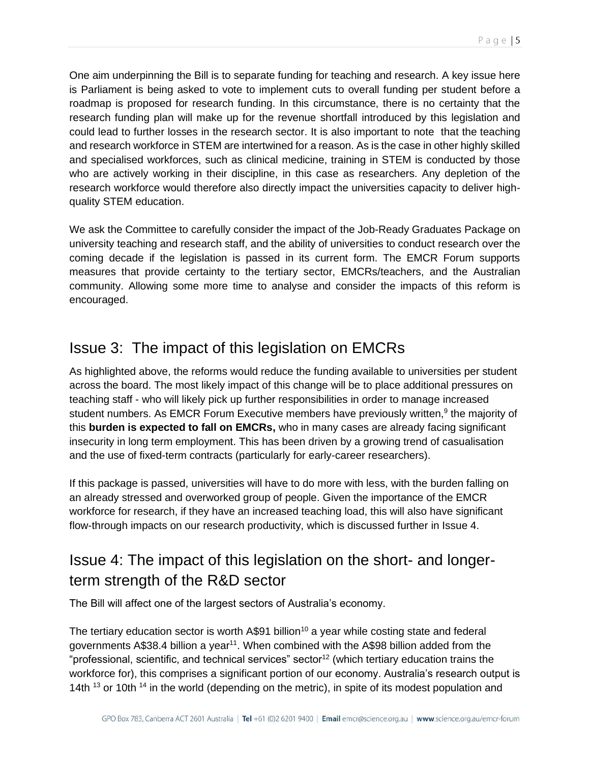One aim underpinning the Bill is to separate funding for teaching and research. A key issue here is Parliament is being asked to vote to implement cuts to overall funding per student before a roadmap is proposed for research funding. In this circumstance, there is no certainty that the research funding plan will make up for the revenue shortfall introduced by this legislation and could lead to further losses in the research sector. It is also important to note that the teaching and research workforce in STEM are intertwined for a reason. As is the case in other highly skilled and specialised workforces, such as clinical medicine, training in STEM is conducted by those who are actively working in their discipline, in this case as researchers. Any depletion of the research workforce would therefore also directly impact the universities capacity to deliver highquality STEM education.

We ask the Committee to carefully consider the impact of the Job-Ready Graduates Package on university teaching and research staff, and the ability of universities to conduct research over the coming decade if the legislation is passed in its current form. The EMCR Forum supports measures that provide certainty to the tertiary sector, EMCRs/teachers, and the Australian community. Allowing some more time to analyse and consider the impacts of this reform is encouraged.

## Issue 3: The impact of this legislation on EMCRs

As highlighted above, the reforms would reduce the funding available to universities per student across the board. The most likely impact of this change will be to place additional pressures on teaching staff - who will likely pick up further responsibilities in order to manage increased student numbers. As EMCR Forum Executive members have previously written,<sup>9</sup> the majority of this **burden is expected to fall on EMCRs,** who in many cases are already facing significant insecurity in long term employment. This has been driven by a growing trend of casualisation and the use of fixed-term contracts (particularly for early-career researchers).

If this package is passed, universities will have to do more with less, with the burden falling on an already stressed and overworked group of people. Given the importance of the EMCR workforce for research, if they have an increased teaching load, this will also have significant flow-through impacts on our research productivity, which is discussed further in Issue 4.

# Issue 4: The impact of this legislation on the short- and longerterm strength of the R&D sector

The Bill will affect one of the largest sectors of Australia's economy.

The tertiary education sector is worth  $A\$ 91 billion<sup>10</sup> a year while costing state and federal governments A\$38.4 billion a year<sup>11</sup>. When combined with the A\$98 billion added from the "professional, scientific, and technical services" sector<sup>12</sup> (which tertiary education trains the workforce for), this comprises a significant portion of our economy. Australia's research output is 14th  $^{13}$  or 10th  $^{14}$  in the world (depending on the metric), in spite of its modest population and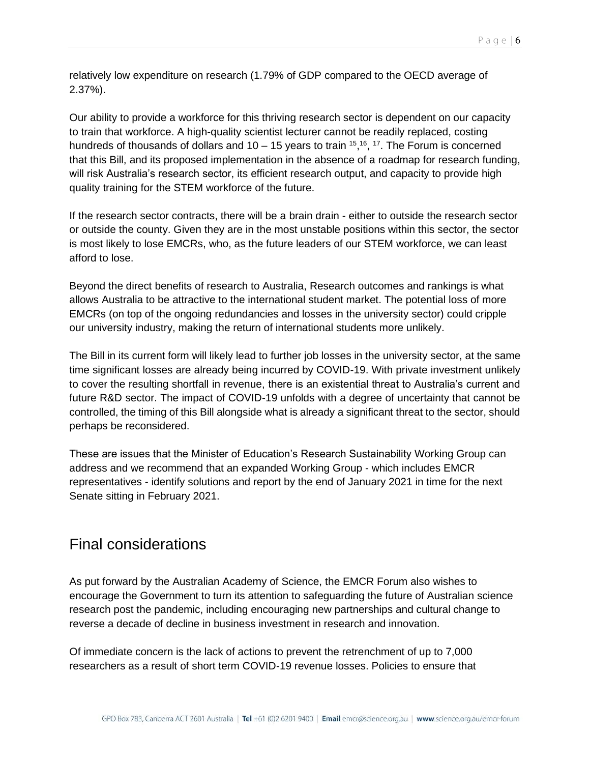relatively low expenditure on research (1.79% of GDP compared to the OECD average of 2.37%).

Our ability to provide a workforce for this thriving research sector is dependent on our capacity to train that workforce. A high-quality scientist lecturer cannot be readily replaced, costing hundreds of thousands of dollars and  $10-15$  years to train  $15,16, 17$ . The Forum is concerned that this Bill, and its proposed implementation in the absence of a roadmap for research funding, will risk Australia's research sector, its efficient research output, and capacity to provide high quality training for the STEM workforce of the future.

If the research sector contracts, there will be a brain drain - either to outside the research sector or outside the county. Given they are in the most unstable positions within this sector, the sector is most likely to lose EMCRs, who, as the future leaders of our STEM workforce, we can least afford to lose.

Beyond the direct benefits of research to Australia, Research outcomes and rankings is what allows Australia to be attractive to the international student market. The potential loss of more EMCRs (on top of the ongoing redundancies and losses in the university sector) could cripple our university industry, making the return of international students more unlikely.

The Bill in its current form will likely lead to further job losses in the university sector, at the same time significant losses are already being incurred by COVID-19. With private investment unlikely to cover the resulting shortfall in revenue, there is an existential threat to Australia's current and future R&D sector. The impact of COVID-19 unfolds with a degree of uncertainty that cannot be controlled, the timing of this Bill alongside what is already a significant threat to the sector, should perhaps be reconsidered.

These are issues that the Minister of Education's Research Sustainability Working Group can address and we recommend that an expanded Working Group - which includes EMCR representatives - identify solutions and report by the end of January 2021 in time for the next Senate sitting in February 2021.

## Final considerations

As put forward by the Australian Academy of Science, the EMCR Forum also wishes to encourage the Government to turn its attention to safeguarding the future of Australian science research post the pandemic, including encouraging new partnerships and cultural change to reverse a decade of decline in business investment in research and innovation.

Of immediate concern is the lack of actions to prevent the retrenchment of up to 7,000 researchers as a result of short term COVID-19 revenue losses. Policies to ensure that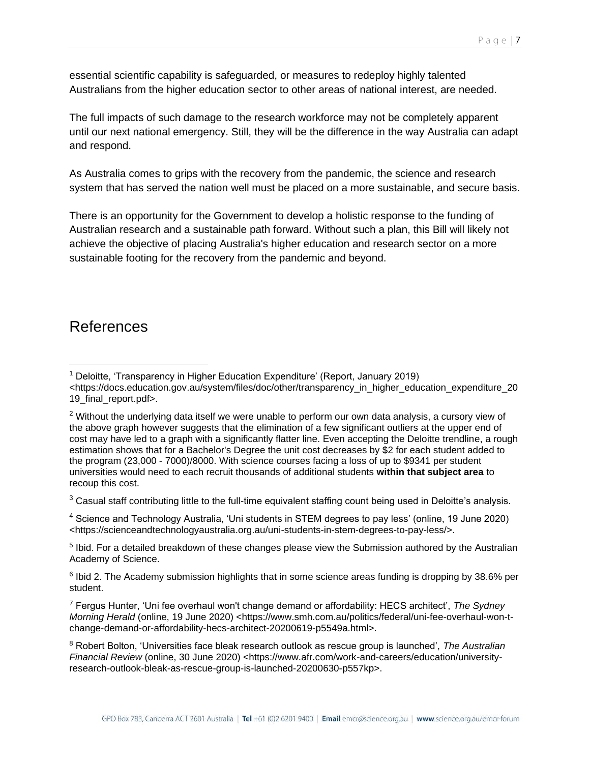essential scientific capability is safeguarded, or measures to redeploy highly talented Australians from the higher education sector to other areas of national interest, are needed.

The full impacts of such damage to the research workforce may not be completely apparent until our next national emergency. Still, they will be the difference in the way Australia can adapt and respond.

As Australia comes to grips with the recovery from the pandemic, the science and research system that has served the nation well must be placed on a more sustainable, and secure basis.

There is an opportunity for the Government to develop a holistic response to the funding of Australian research and a sustainable path forward. Without such a plan, this Bill will likely not achieve the objective of placing Australia's higher education and research sector on a more sustainable footing for the recovery from the pandemic and beyond.

#### References

 $3$  Casual staff contributing little to the full-time equivalent staffing count being used in Deloitte's analysis.

<sup>4</sup> Science and Technology Australia, 'Uni students in STEM degrees to pay less' (online, 19 June 2020) <https://scienceandtechnologyaustralia.org.au/uni-students-in-stem-degrees-to-pay-less/>.

<sup>5</sup> Ibid. For a detailed breakdown of these changes please view the Submission authored by the Australian Academy of Science.

<sup>6</sup> Ibid 2. The Academy submission highlights that in some science areas funding is dropping by 38.6% per student.

<sup>7</sup> Fergus Hunter, 'Uni fee overhaul won't change demand or affordability: HECS architect', *The Sydney Morning Herald (online, 19 June 2020) <https://www.smh.com.au/politics/federal/uni-fee-overhaul-won-t*change-demand-or-affordability-hecs-architect-20200619-p5549a.html>.

<sup>&</sup>lt;sup>1</sup> Deloitte, 'Transparency in Higher Education Expenditure' (Report, January 2019) <https://docs.education.gov.au/system/files/doc/other/transparency\_in\_higher\_education\_expenditure\_20 19 final report.pdf>.

<sup>&</sup>lt;sup>2</sup> Without the underlying data itself we were unable to perform our own data analysis, a cursory view of the above graph however suggests that the elimination of a few significant outliers at the upper end of cost may have led to a graph with a significantly flatter line. Even accepting the Deloitte trendline, a rough estimation shows that for a Bachelor's Degree the unit cost decreases by \$2 for each student added to the program (23,000 - 7000)/8000. With science courses facing a loss of up to \$9341 per student universities would need to each recruit thousands of additional students **within that subject area** to recoup this cost.

<sup>8</sup> Robert Bolton, 'Universities face bleak research outlook as rescue group is launched', *The Australian Financial Review* (online, 30 June 2020) <https://www.afr.com/work-and-careers/education/universityresearch-outlook-bleak-as-rescue-group-is-launched-20200630-p557kp>.